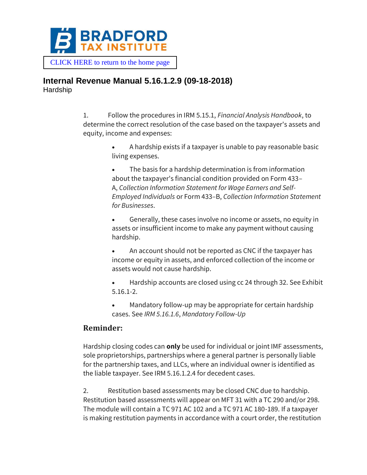

 [CLICK HERE to return to the home page](https://www.bradfordtaxinstitute.com)

#### **Internal Revenue Manual 5.16.1.2.9 (09-18-2018) Hardship**

1. Follow the procedures in IRM 5.15.1, *Financial Analysis Handbook*, to determine the correct resolution of the case based on the taxpayer's assets and equity, income and expenses:

> • A hardship exists if a taxpayer is unable to pay reasonable basic living expenses.

The basis for a hardship determination is from information about the taxpayer's financial condition provided on Form 433– A, *Collection Information Statement for Wage Earners and Self-Employed Individuals* or Form 433–B, *Collection Information Statement for Businesses*.

• Generally, these cases involve no income or assets, no equity in assets or insufficient income to make any payment without causing hardship.

- An account should not be reported as CNC if the taxpayer has income or equity in assets, and enforced collection of the income or assets would not cause hardship.
- Hardship accounts are closed using cc 24 through 32. See Exhibit 5.16.1-2.
- Mandatory follow-up may be appropriate for certain hardship cases. See *IRM 5.16.1.6*, *Mandatory Follow-Up*

### **Reminder:**

Hardship closing codes can **only** be used for individual or joint IMF assessments, sole proprietorships, partnerships where a general partner is personally liable for the partnership taxes, and LLCs, where an individual owner is identified as the liable taxpayer. See IRM 5.16.1.2.4 for decedent cases.

2. Restitution based assessments may be closed CNC due to hardship. Restitution based assessments will appear on MFT 31 with a TC 290 and/or 298. The module will contain a TC 971 AC 102 and a TC 971 AC 180-189. If a taxpayer is making restitution payments in accordance with a court order, the restitution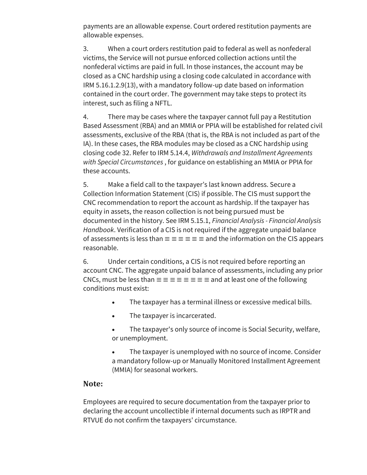payments are an allowable expense. Court ordered restitution payments are allowable expenses.

3. When a court orders restitution paid to federal as well as nonfederal victims, the Service will not pursue enforced collection actions until the nonfederal victims are paid in full. In those instances, the account may be closed as a CNC hardship using a closing code calculated in accordance with IRM 5.16.1.2.9(13), with a mandatory follow-up date based on information contained in the court order. The government may take steps to protect its interest, such as filing a NFTL.

4. There may be cases where the taxpayer cannot full pay a Restitution Based Assessment (RBA) and an MMIA or PPIA will be established for related civil assessments, exclusive of the RBA (that is, the RBA is not included as part of the IA). In these cases, the RBA modules may be closed as a CNC hardship using closing code 32. Refer to IRM 5.14.4, *Withdrawals and Installment Agreements with Special Circumstances* , for guidance on establishing an MMIA or PPIA for these accounts.

5. Make a field call to the taxpayer's last known address. Secure a Collection Information Statement (CIS) if possible. The CIS must support the CNC recommendation to report the account as hardship. If the taxpayer has equity in assets, the reason collection is not being pursued must be documented in the history. See IRM 5.15.1, *Financial Analysis - Financial Analysis Handbook*. Verification of a CIS is not required if the aggregate unpaid balance of assessments is less than  $\equiv \equiv \equiv \equiv \equiv$  and the information on the CIS appears reasonable.

6. Under certain conditions, a CIS is not required before reporting an account CNC. The aggregate unpaid balance of assessments, including any prior CNCs, must be less than  $\equiv \equiv \equiv \equiv \equiv \equiv \equiv \equiv$  and at least one of the following conditions must exist:

- The taxpayer has a terminal illness or excessive medical bills.
- The taxpayer is incarcerated.
- The taxpayer's only source of income is Social Security, welfare, or unemployment.

The taxpayer is unemployed with no source of income. Consider a mandatory follow-up or Manually Monitored Installment Agreement (MMIA) for seasonal workers.

#### **Note:**

Employees are required to secure documentation from the taxpayer prior to declaring the account uncollectible if internal documents such as IRPTR and RTVUE do not confirm the taxpayers' circumstance.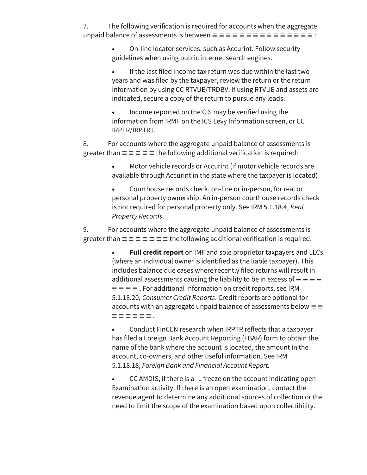7. The following verification is required for accounts when the aggregate unpaid balance of assessments is between ≡ ≡ ≡ ≡ ≡ ≡ ≡ ≡ ≡ ≡ ≡ ≡ ≡ ≡ ≡ :

> • On-line locator services, such as Accurint. Follow security guidelines when using public internet search engines.

If the last filed income tax return was due within the last two years and was filed by the taxpayer, review the return or the return information by using CC RTVUE/TRDBV. If using RTVUE and assets are indicated, secure a copy of the return to pursue any leads.

• Income reported on the CIS may be verified using the information from IRMF on the ICS Levy Information screen, or CC IRPTR/IRPTRJ.

8. For accounts where the aggregate unpaid balance of assessments is greater than  $\equiv \equiv \equiv \equiv \pm$  the following additional verification is required:

> Motor vehicle records or Accurint (if motor vehicle records are available through Accurint in the state where the taxpayer is located)

• Courthouse records check, on-line or in-person, for real or personal property ownership. An in-person courthouse records check is not required for personal property only. See IRM 5.1.18.4, *Real Property Records*.

9. For accounts where the aggregate unpaid balance of assessments is greater than  $\equiv \equiv \equiv \equiv \equiv \equiv \pm 1$  the following additional verification is required:

> • **Full credit report** on IMF and sole proprietor taxpayers and LLCs (where an individual owner is identified as the liable taxpayer). This includes balance due cases where recently filed returns will result in additional assessments causing the liability to be in excess of  $\equiv \equiv \equiv \equiv$  $\equiv \equiv \equiv \equiv$  . For additional information on credit reports, see IRM 5.1.18.20, *Consumer Credit Reports*. Credit reports are optional for accounts with an aggregate unpaid balance of assessments below  $\equiv \equiv$ ≡ ≡ ≡ ≡ ≡ ≡ .

• Conduct FinCEN research when IRPTR reflects that a taxpayer has filed a Foreign Bank Account Reporting (FBAR) form to obtain the name of the bank where the account is located, the amount in the account, co-owners, and other useful information. See IRM 5.1.18.18, *Foreign Bank and Financial Account Report.*

• CC AMDIS, if there is a -L freeze on the account indicating open Examination activity. If there is an open examination, contact the revenue agent to determine any additional sources of collection or the need to limit the scope of the examination based upon collectibility.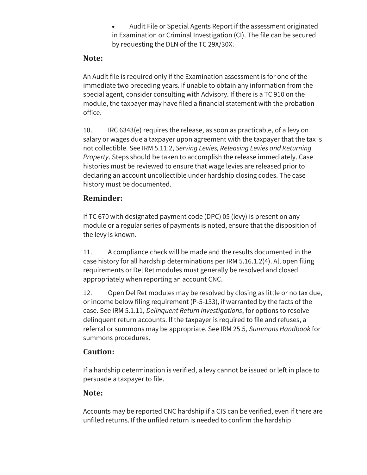• Audit File or Special Agents Report if the assessment originated in Examination or Criminal Investigation (CI). The file can be secured by requesting the DLN of the TC 29X/30X.

## **Note:**

An Audit file is required only if the Examination assessment is for one of the immediate two preceding years. If unable to obtain any information from the special agent, consider consulting with Advisory. If there is a TC 910 on the module, the taxpayer may have filed a financial statement with the probation office.

10. IRC 6343(e) requires the release, as soon as practicable, of a levy on salary or wages due a taxpayer upon agreement with the taxpayer that the tax is not collectible. See IRM 5.11.2, *Serving Levies, Releasing Levies and Returning Property*. Steps should be taken to accomplish the release immediately. Case histories must be reviewed to ensure that wage levies are released prior to declaring an account uncollectible under hardship closing codes. The case history must be documented.

### **Reminder:**

If TC 670 with designated payment code (DPC) 05 (levy) is present on any module or a regular series of payments is noted, ensure that the disposition of the levy is known.

11. A compliance check will be made and the results documented in the case history for all hardship determinations per IRM 5.16.1.2(4). All open filing requirements or Del Ret modules must generally be resolved and closed appropriately when reporting an account CNC.

12. Open Del Ret modules may be resolved by closing as little or no tax due, or income below filing requirement (P-5-133), if warranted by the facts of the case. See IRM 5.1.11, *Delinquent Return Investigations*, for options to resolve delinquent return accounts. If the taxpayer is required to file and refuses, a referral or summons may be appropriate. See IRM 25.5, *Summons Handbook* for summons procedures.

### **Caution:**

If a hardship determination is verified, a levy cannot be issued or left in place to persuade a taxpayer to file.

### **Note:**

Accounts may be reported CNC hardship if a CIS can be verified, even if there are unfiled returns. If the unfiled return is needed to confirm the hardship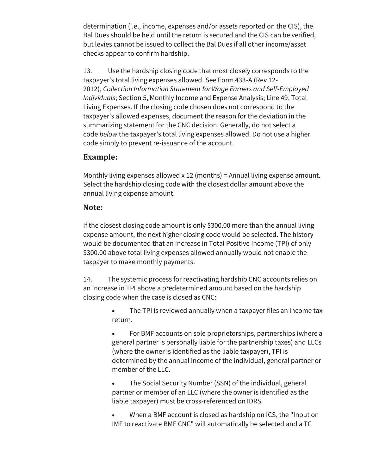determination (i.e., income, expenses and/or assets reported on the CIS), the Bal Dues should be held until the return is secured and the CIS can be verified, but levies cannot be issued to collect the Bal Dues if all other income/asset checks appear to confirm hardship.

13. Use the hardship closing code that most closely corresponds to the taxpayer's total living expenses allowed. See Form 433-A (Rev 12- 2012), *Collection Information Statement for Wage Earners and Self-Employed Individuals*; Section 5, Monthly Income and Expense Analysis; Line 49, Total Living Expenses. If the closing code chosen does not correspond to the taxpayer's allowed expenses, document the reason for the deviation in the summarizing statement for the CNC decision. Generally, do not select a code *below* the taxpayer's total living expenses allowed. Do not use a higher code simply to prevent re-issuance of the account.

### **Example:**

Monthly living expenses allowed x 12 (months) = Annual living expense amount. Select the hardship closing code with the closest dollar amount above the annual living expense amount.

#### **Note:**

If the closest closing code amount is only \$300.00 more than the annual living expense amount, the next higher closing code would be selected. The history would be documented that an increase in Total Positive Income (TPI) of only \$300.00 above total living expenses allowed annually would not enable the taxpayer to make monthly payments.

14. The systemic process for reactivating hardship CNC accounts relies on an increase in TPI above a predetermined amount based on the hardship closing code when the case is closed as CNC:

> The TPI is reviewed annually when a taxpayer files an income tax return.

> • For BMF accounts on sole proprietorships, partnerships (where a general partner is personally liable for the partnership taxes) and LLCs (where the owner is identified as the liable taxpayer), TPI is determined by the annual income of the individual, general partner or member of the LLC.

• The Social Security Number (SSN) of the individual, general partner or member of an LLC (where the owner is identified as the liable taxpayer) must be cross-referenced on IDRS.

• When a BMF account is closed as hardship on ICS, the "Input on IMF to reactivate BMF CNC" will automatically be selected and a TC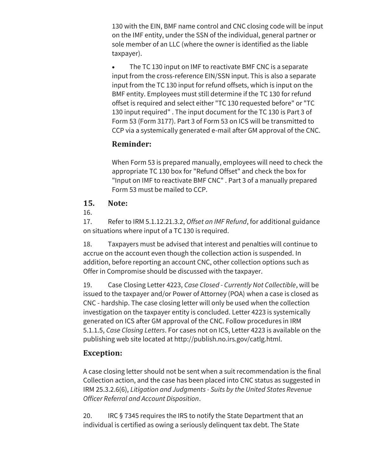130 with the EIN, BMF name control and CNC closing code will be input on the IMF entity, under the SSN of the individual, general partner or sole member of an LLC (where the owner is identified as the liable taxpayer).

The TC 130 input on IMF to reactivate BMF CNC is a separate input from the cross-reference EIN/SSN input. This is also a separate input from the TC 130 input for refund offsets, which is input on the BMF entity. Employees must still determine if the TC 130 for refund offset is required and select either "TC 130 requested before" or "TC 130 input required" . The input document for the TC 130 is Part 3 of Form 53 (Form 3177). Part 3 of Form 53 on ICS will be transmitted to CCP via a systemically generated e-mail after GM approval of the CNC.

# **Reminder:**

When Form 53 is prepared manually, employees will need to check the appropriate TC 130 box for "Refund Offset" and check the box for "Input on IMF to reactivate BMF CNC" . Part 3 of a manually prepared Form 53 must be mailed to CCP.

### **15. Note:**

16.

17. Refer to IRM 5.1.12.21.3.2, *Offset an IMF Refund*, for additional guidance on situations where input of a TC 130 is required.

18. Taxpayers must be advised that interest and penalties will continue to accrue on the account even though the collection action is suspended. In addition, before reporting an account CNC, other collection options such as Offer in Compromise should be discussed with the taxpayer.

19. Case Closing Letter 4223, *Case Closed - Currently Not Collectible*, will be issued to the taxpayer and/or Power of Attorney (POA) when a case is closed as CNC - hardship. The case closing letter will only be used when the collection investigation on the taxpayer entity is concluded. Letter 4223 is systemically generated on ICS after GM approval of the CNC. Follow procedures in IRM 5.1.1.5, *Case Closing Letters*. For cases not on ICS, Letter 4223 is available on the publishing web site located at http://publish.no.irs.gov/catlg.html.

### **Exception:**

A case closing letter should not be sent when a suit recommendation is the final Collection action, and the case has been placed into CNC status as suggested in IRM 25.3.2.6(6), *Litigation and Judgments - Suits by the United States Revenue Officer Referral and Account Disposition*.

20. IRC § 7345 requires the IRS to notify the State Department that an individual is certified as owing a seriously delinquent tax debt. The State